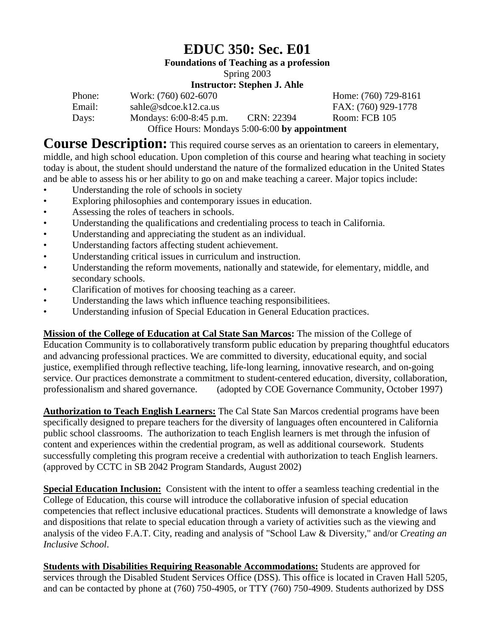# **EDUC 350: Sec. E01**

**Foundations of Teaching as a profession**

Spring 2003

### **Instructor: Stephen J. Ahle**

| Phone: | Work: (760) 602-6070                           |            | Home: (760) 729-8161 |
|--------|------------------------------------------------|------------|----------------------|
| Email: | sahle@sdcoe.k12.ca.us                          |            | FAX: (760) 929-1778  |
| Days:  | Mondays: 6:00-8:45 p.m.                        | CRN: 22394 | Room: FCB 105        |
|        | Office Hours: Mondays 5:00-6:00 by appointment |            |                      |

**Course Description:** This required course serves as an orientation to careers in elementary, middle, and high school education. Upon completion of this course and hearing what teaching in society today is about, the student should understand the nature of the formalized education in the United States and be able to assess his or her ability to go on and make teaching a career. Major topics include:

- Understanding the role of schools in society
- Exploring philosophies and contemporary issues in education.
- Assessing the roles of teachers in schools.
- Understanding the qualifications and credentialing process to teach in California.
- Understanding and appreciating the student as an individual.<br>• Inderstanding factors affecting student achievement
- Understanding factors affecting student achievement.
- Understanding critical issues in curriculum and instruction.
- Understanding the reform movements, nationally and statewide, for elementary, middle, and secondary schools.
- Clarification of motives for choosing teaching as a career.
- Understanding the laws which influence teaching responsibilitiees.
- Understanding infusion of Special Education in General Education practices.

**Mission of the College of Education at Cal State San Marcos:** The mission of the College of Education Community is to collaboratively transform public education by preparing thoughtful educators and advancing professional practices. We are committed to diversity, educational equity, and social justice, exemplified through reflective teaching, life-long learning, innovative research, and on-going service. Our practices demonstrate a commitment to student-centered education, diversity, collaboration, professionalism and shared governance. (adopted by COE Governance Community, October 1997)

**Authorization to Teach English Learners:** The Cal State San Marcos credential programs have been specifically designed to prepare teachers for the diversity of languages often encountered in California public school classrooms. The authorization to teach English learners is met through the infusion of content and experiences within the credential program, as well as additional coursework. Students successfully completing this program receive a credential with authorization to teach English learners. (approved by CCTC in SB 2042 Program Standards, August 2002)

**Special Education Inclusion:** Consistent with the intent to offer a seamless teaching credential in the College of Education, this course will introduce the collaborative infusion of special education competencies that reflect inclusive educational practices. Students will demonstrate a knowledge of laws and dispositions that relate to special education through a variety of activities such as the viewing and analysis of the video F.A.T. City, reading and analysis of "School Law & Diversity," and/or *Creating an Inclusive School*.

**Students with Disabilities Requiring Reasonable Accommodations:** Students are approved for services through the Disabled Student Services Office (DSS). This office is located in Craven Hall 5205, and can be contacted by phone at (760) 750-4905, or TTY (760) 750-4909. Students authorized by DSS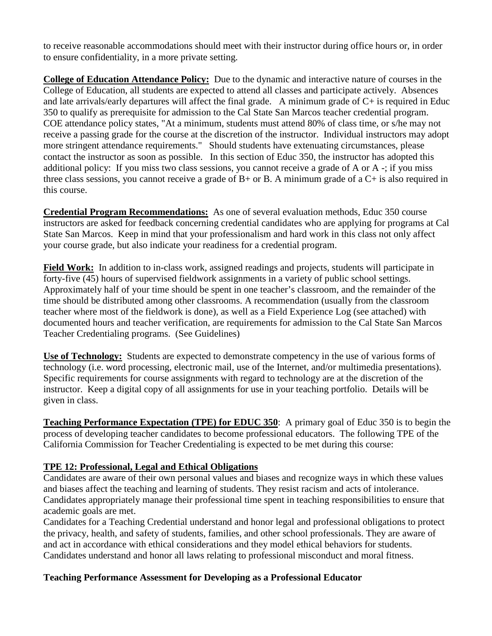to receive reasonable accommodations should meet with their instructor during office hours or, in order to ensure confidentiality, in a more private setting.

**College of Education Attendance Policy:** Due to the dynamic and interactive nature of courses in the College of Education, all students are expected to attend all classes and participate actively. Absences and late arrivals/early departures will affect the final grade. A minimum grade of C+ is required in Educ 350 to qualify as prerequisite for admission to the Cal State San Marcos teacher credential program. COE attendance policy states, "At a minimum, students must attend 80% of class time, or s/he may not receive a passing grade for the course at the discretion of the instructor. Individual instructors may adopt more stringent attendance requirements." Should students have extenuating circumstances, please contact the instructor as soon as possible. In this section of Educ 350, the instructor has adopted this additional policy: If you miss two class sessions, you cannot receive a grade of A or A -; if you miss three class sessions, you cannot receive a grade of B+ or B. A minimum grade of a C+ is also required in this course.

**Credential Program Recommendations:** As one of several evaluation methods, Educ 350 course instructors are asked for feedback concerning credential candidates who are applying for programs at Cal State San Marcos. Keep in mind that your professionalism and hard work in this class not only affect your course grade, but also indicate your readiness for a credential program.

**Field Work:** In addition to in-class work, assigned readings and projects, students will participate in forty-five (45) hours of supervised fieldwork assignments in a variety of public school settings. Approximately half of your time should be spent in one teacher's classroom, and the remainder of the time should be distributed among other classrooms. A recommendation (usually from the classroom teacher where most of the fieldwork is done), as well as a Field Experience Log (see attached) with documented hours and teacher verification, are requirements for admission to the Cal State San Marcos Teacher Credentialing programs. (See Guidelines)

**Use of Technology:** Students are expected to demonstrate competency in the use of various forms of technology (i.e. word processing, electronic mail, use of the Internet, and/or multimedia presentations). Specific requirements for course assignments with regard to technology are at the discretion of the instructor. Keep a digital copy of all assignments for use in your teaching portfolio. Details will be given in class.

**Teaching Performance Expectation (TPE) for EDUC 350**: A primary goal of Educ 350 is to begin the process of developing teacher candidates to become professional educators. The following TPE of the California Commission for Teacher Credentialing is expected to be met during this course:

### **TPE 12: Professional, Legal and Ethical Obligations**

Candidates are aware of their own personal values and biases and recognize ways in which these values and biases affect the teaching and learning of students. They resist racism and acts of intolerance. Candidates appropriately manage their professional time spent in teaching responsibilities to ensure that academic goals are met.

Candidates for a Teaching Credential understand and honor legal and professional obligations to protect the privacy, health, and safety of students, families, and other school professionals. They are aware of and act in accordance with ethical considerations and they model ethical behaviors for students. Candidates understand and honor all laws relating to professional misconduct and moral fitness.

### **Teaching Performance Assessment for Developing as a Professional Educator**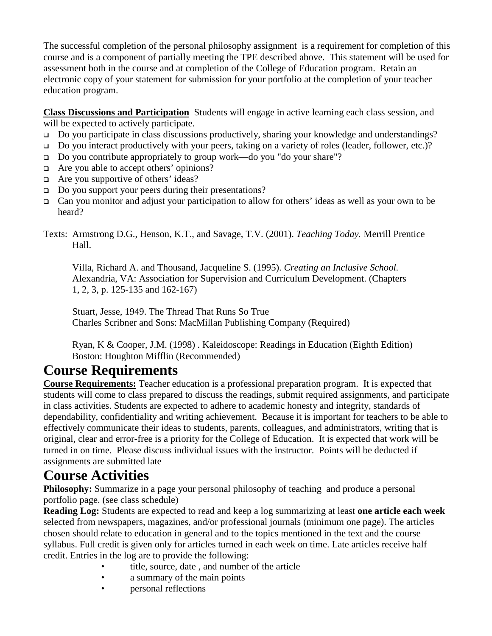The successful completion of the personal philosophy assignment is a requirement for completion of this course and is a component of partially meeting the TPE described above. This statement will be used for assessment both in the course and at completion of the College of Education program. Retain an electronic copy of your statement for submission for your portfolio at the completion of your teacher education program.

**Class Discussions and Participation** Students will engage in active learning each class session, and will be expected to actively participate.

- □ Do you participate in class discussions productively, sharing your knowledge and understandings?
- Do you interact productively with your peers, taking on a variety of roles (leader, follower, etc.)?
- Do you contribute appropriately to group work—do you "do your share"?
- □ Are you able to accept others' opinions?
- $\Box$  Are you supportive of others' ideas?
- □ Do you support your peers during their presentations?
- Can you monitor and adjust your participation to allow for others' ideas as well as your own to be heard?
- Texts: Armstrong D.G., Henson, K.T., and Savage, T.V. (2001). *Teaching Today.* Merrill Prentice Hall.

Villa, Richard A. and Thousand, Jacqueline S. (1995). *Creating an Inclusive School.* Alexandria, VA: Association for Supervision and Curriculum Development. (Chapters 1, 2, 3, p. 125-135 and 162-167)

Stuart, Jesse, 1949. The Thread That Runs So True Charles Scribner and Sons: MacMillan Publishing Company (Required)

Ryan, K & Cooper, J.M. (1998) . Kaleidoscope: Readings in Education (Eighth Edition) Boston: Houghton Mifflin (Recommended)

# **Course Requirements**

**Course Requirements:** Teacher education is a professional preparation program. It is expected that students will come to class prepared to discuss the readings, submit required assignments, and participate in class activities. Students are expected to adhere to academic honesty and integrity, standards of dependability, confidentiality and writing achievement. Because it is important for teachers to be able to effectively communicate their ideas to students, parents, colleagues, and administrators, writing that is original, clear and error-free is a priority for the College of Education. It is expected that work will be turned in on time. Please discuss individual issues with the instructor. Points will be deducted if assignments are submitted late

# **Course Activities**

**Philosophy:** Summarize in a page your personal philosophy of teaching and produce a personal portfolio page. (see class schedule)

**Reading Log:** Students are expected to read and keep a log summarizing at least **one article each week** selected from newspapers, magazines, and/or professional journals (minimum one page). The articles chosen should relate to education in general and to the topics mentioned in the text and the course syllabus. Full credit is given only for articles turned in each week on time. Late articles receive half credit. Entries in the log are to provide the following:

- title, source, date, and number of the article
- a summary of the main points
- **personal reflections**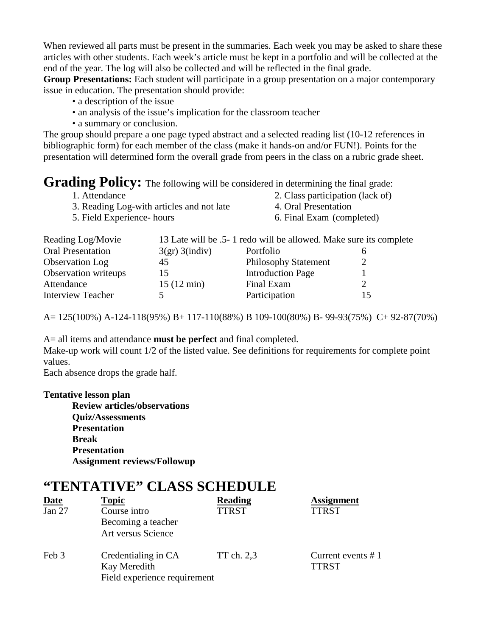When reviewed all parts must be present in the summaries. Each week you may be asked to share these articles with other students. Each week's article must be kept in a portfolio and will be collected at the end of the year. The log will also be collected and will be reflected in the final grade.

**Group Presentations:** Each student will participate in a group presentation on a major contemporary issue in education. The presentation should provide:

- a description of the issue
- an analysis of the issue's implication for the classroom teacher
- a summary or conclusion.

The group should prepare a one page typed abstract and a selected reading list (10-12 references in bibliographic form) for each member of the class (make it hands-on and/or FUN!). Points for the presentation will determined form the overall grade from peers in the class on a rubric grade sheet.

## Grading Policy: The following will be considered in determining the final grade:

| 1. Attendance                             | 2. Class participation (lack of) |
|-------------------------------------------|----------------------------------|
| 3. Reading Log-with articles and not late | 4. Oral Presentation             |
| 5. Field Experience- hours                | 6. Final Exam (completed)        |

| Reading Log/Movie        |                      | 13 Late will be .5- 1 redo will be allowed. Make sure its complete |  |
|--------------------------|----------------------|--------------------------------------------------------------------|--|
| <b>Oral Presentation</b> | 3(gr) 3(indiv)       | Portfolio                                                          |  |
| Observation Log          | 45                   | <b>Philosophy Statement</b>                                        |  |
| Observation writeups     | 15                   | <b>Introduction Page</b>                                           |  |
| Attendance               | $15(12 \text{ min})$ | Final Exam                                                         |  |
| <b>Interview Teacher</b> |                      | Participation                                                      |  |

A= 125(100%) A-124-118(95%) B+ 117-110(88%) B 109-100(80%) B- 99-93(75%) C+ 92-87(70%)

A= all items and attendance **must be perfect** and final completed. Make-up work will count  $1/2$  of the listed value. See definitions for requirements for complete point values.

Each absence drops the grade half.

#### **Tentative lesson plan**

**Review articles/observations Quiz/Assessments Presentation Break Presentation Assignment reviews/Followup**

## **"TENTATIVE" CLASS SCHEDULE**

| <b>Date</b> | <b>Topic</b>                 | <b>Reading</b> | <b>Assignment</b>    |
|-------------|------------------------------|----------------|----------------------|
| Jan 27      | Course intro                 | <b>TTRST</b>   | <b>TTRST</b>         |
|             | Becoming a teacher           |                |                      |
|             | Art versus Science           |                |                      |
| Feb 3       | Credentialing in CA          | TT ch. 2,3     | Current events $# 1$ |
|             | Kay Meredith                 |                | <b>TTRST</b>         |
|             | Field experience requirement |                |                      |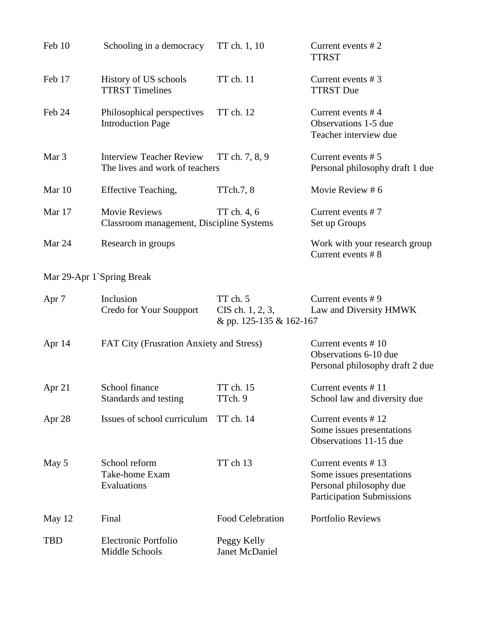| Feb 10                    | Schooling in a democracy                                                            | TT ch. 1, 10                                            | Current events $# 2$<br><b>TTRST</b>                                                                           |
|---------------------------|-------------------------------------------------------------------------------------|---------------------------------------------------------|----------------------------------------------------------------------------------------------------------------|
| Feb 17                    | History of US schools<br><b>TTRST</b> Timelines                                     | TT ch. 11                                               | Current events $# 3$<br><b>TTRST Due</b>                                                                       |
| Feb 24                    | Philosophical perspectives<br><b>Introduction Page</b>                              | TT ch. 12                                               | Current events $#4$<br>Observations 1-5 due<br>Teacher interview due                                           |
| Mar 3                     | <b>Interview Teacher Review</b><br>TT ch. 7, 8, 9<br>The lives and work of teachers |                                                         | Current events $# 5$<br>Personal philosophy draft 1 due                                                        |
| Mar 10                    | Effective Teaching,                                                                 | TTch.7, 8                                               | Movie Review #6                                                                                                |
| Mar 17                    | <b>Movie Reviews</b><br>Classroom management, Discipline Systems                    | TT ch. 4, 6                                             | Current events $# 7$<br>Set up Groups                                                                          |
| Mar 24                    | Research in groups                                                                  |                                                         | Work with your research group<br>Current events #8                                                             |
| Mar 29-Apr 1`Spring Break |                                                                                     |                                                         |                                                                                                                |
| Apr 7                     | Inclusion<br>Credo for Your Soupport                                                | TT ch. 5<br>CIS ch. 1, 2, 3,<br>& pp. 125-135 & 162-167 | Current events $# 9$<br>Law and Diversity HMWK                                                                 |
| Apr $14$                  | FAT City (Frusration Anxiety and Stress)                                            |                                                         | Current events #10<br>Observations 6-10 due<br>Personal philosophy draft 2 due                                 |
| Apr 21                    | School finance<br>Standards and testing                                             | TT ch. 15<br>TTch. 9                                    | Current events #11<br>School law and diversity due                                                             |
| Apr 28                    | Issues of school curriculum                                                         | <b>TT</b> ch. 14                                        | Current events $# 12$<br>Some issues presentations<br>Observations 11-15 due                                   |
| May 5                     | School reform<br>Take-home Exam<br>Evaluations                                      | TT ch 13                                                | Current events #13<br>Some issues presentations<br>Personal philosophy due<br><b>Participation Submissions</b> |
| May 12                    | Final                                                                               | Food Celebration                                        | <b>Portfolio Reviews</b>                                                                                       |
| <b>TBD</b>                | Electronic Portfolio<br>Middle Schools                                              | Peggy Kelly<br>Janet McDaniel                           |                                                                                                                |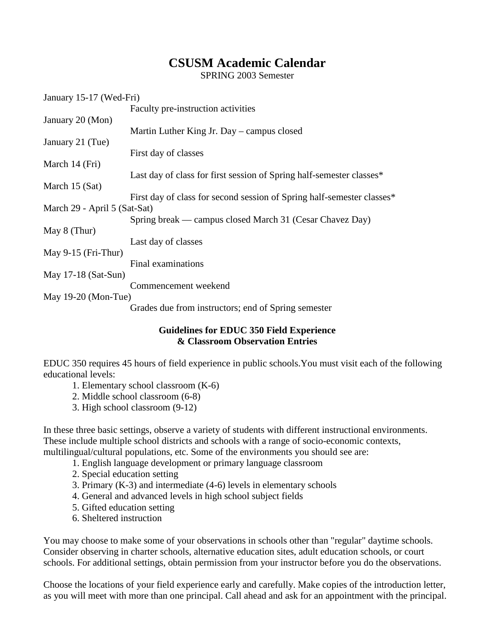## **CSUSM Academic Calendar**

SPRING 2003 Semester

| January 15-17 (Wed-Fri)      |                                                                        |
|------------------------------|------------------------------------------------------------------------|
|                              | Faculty pre-instruction activities                                     |
| January 20 (Mon)             |                                                                        |
|                              | Martin Luther King Jr. Day – campus closed                             |
| January 21 (Tue)             |                                                                        |
|                              | First day of classes                                                   |
| March 14 (Fri)               |                                                                        |
|                              | Last day of class for first session of Spring half-semester classes*   |
| March 15 (Sat)               |                                                                        |
|                              | First day of class for second session of Spring half-semester classes* |
| March 29 - April 5 (Sat-Sat) |                                                                        |
|                              | Spring break — campus closed March 31 (Cesar Chavez Day)               |
| May $8$ (Thur)               |                                                                        |
|                              | Last day of classes                                                    |
| May $9-15$ (Fri-Thur)        |                                                                        |
|                              | Final examinations                                                     |
| May $17-18$ (Sat-Sun)        |                                                                        |
|                              | Commencement weekend                                                   |
| May $19-20$ (Mon-Tue)        |                                                                        |
|                              | Grades due from instructors; end of Spring semester                    |

### **Guidelines for EDUC 350 Field Experience & Classroom Observation Entries**

EDUC 350 requires 45 hours of field experience in public schools.You must visit each of the following educational levels:

- 1. Elementary school classroom (K-6)
- 2. Middle school classroom (6-8)
- 3. High school classroom (9-12)

In these three basic settings, observe a variety of students with different instructional environments. These include multiple school districts and schools with a range of socio-economic contexts, multilingual/cultural populations, etc. Some of the environments you should see are:

- 1. English language development or primary language classroom
- 2. Special education setting
- 3. Primary (K-3) and intermediate (4-6) levels in elementary schools
- 4. General and advanced levels in high school subject fields
- 5. Gifted education setting
- 6. Sheltered instruction

You may choose to make some of your observations in schools other than "regular" daytime schools. Consider observing in charter schools, alternative education sites, adult education schools, or court schools. For additional settings, obtain permission from your instructor before you do the observations.

Choose the locations of your field experience early and carefully. Make copies of the introduction letter, as you will meet with more than one principal. Call ahead and ask for an appointment with the principal.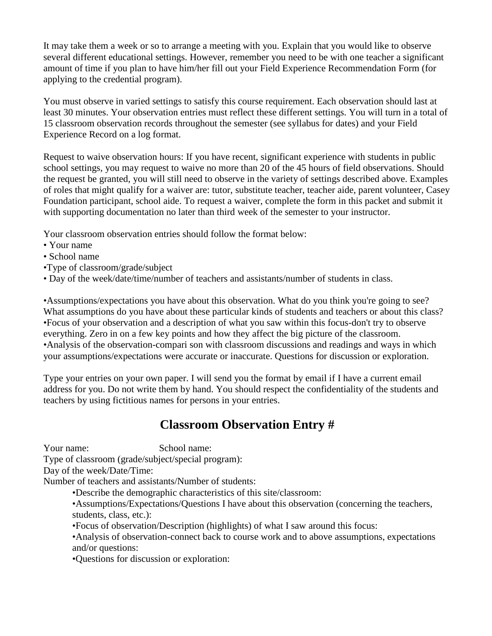It may take them a week or so to arrange a meeting with you. Explain that you would like to observe several different educational settings. However, remember you need to be with one teacher a significant amount of time if you plan to have him/her fill out your Field Experience Recommendation Form (for applying to the credential program).

You must observe in varied settings to satisfy this course requirement. Each observation should last at least 30 minutes. Your observation entries must reflect these different settings. You will turn in a total of 15 classroom observation records throughout the semester (see syllabus for dates) and your Field Experience Record on a log format.

Request to waive observation hours: If you have recent, significant experience with students in public school settings, you may request to waive no more than 20 of the 45 hours of field observations. Should the request be granted, you will still need to observe in the variety of settings described above. Examples of roles that might qualify for a waiver are: tutor, substitute teacher, teacher aide, parent volunteer, Casey Foundation participant, school aide. To request a waiver, complete the form in this packet and submit it with supporting documentation no later than third week of the semester to your instructor.

Your classroom observation entries should follow the format below:

- Your name
- School name
- •Type of classroom/grade/subject
- Day of the week/date/time/number of teachers and assistants/number of students in class.

•Assumptions/expectations you have about this observation. What do you think you're going to see? What assumptions do you have about these particular kinds of students and teachers or about this class? •Focus of your observation and a description of what you saw within this focus-don't try to observe everything. Zero in on a few key points and how they affect the big picture of the classroom. •Analysis of the observation-compari son with classroom discussions and readings and ways in which your assumptions/expectations were accurate or inaccurate. Questions for discussion or exploration.

Type your entries on your own paper. I will send you the format by email if I have a current email address for you. Do not write them by hand. You should respect the confidentiality of the students and teachers by using fictitious names for persons in your entries.

## **Classroom Observation Entry #**

Your name: School name:

Type of classroom (grade/subject/special program):

Day of the week/Date/Time:

Number of teachers and assistants/Number of students:

- •Describe the demographic characteristics of this site/classroom:
- •Assumptions/Expectations/Questions I have about this observation (concerning the teachers, students, class, etc.):
- •Focus of observation/Description (highlights) of what I saw around this focus:
- •Analysis of observation-connect back to course work and to above assumptions, expectations and/or questions:

•Questions for discussion or exploration: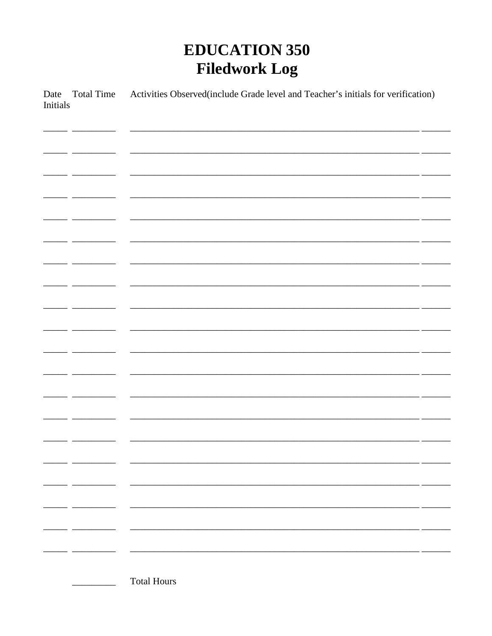# **EDUCATION 350 Filedwork Log**

Activities Observed(include Grade level and Teacher's initials for verification) Date Total Time **Initials** 

 $=$   $\overline{a}$  $\overline{a}$   $\overline{a}$  $\overline{\phantom{a}}$  $\overline{\phantom{0}}$  $-$ <u> 1999 - Johann Marie Barnett, politik e</u> <u> 1989 - John Harry Barn, mars a</u>  $\ddot{\phantom{1}}$ المستحدث المستحدث  $\overline{a}$  $\overline{\phantom{a}}$  $\overline{a}$  $\overline{\phantom{0}}$  $\overline{\phantom{a}}$  $-$ . .  $\overline{a}$  and  $\overline{a}$  $\overline{\phantom{a}}$  $-$ **Total Hours**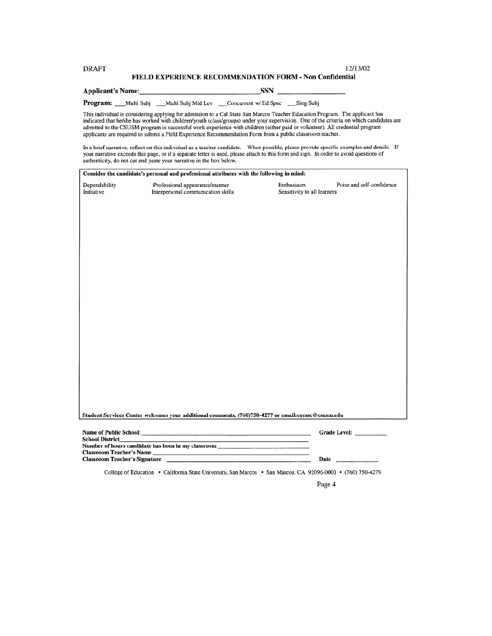#### **DRAFT** FIELD EXPERIENCE RECOMMENDATION FORM - Non Confidential

**SSN** Applicant's Name:

Program: \_\_Multi Subj \_\_Multi Subj Mid Lev \_\_\_Concurrent w/ Ed Spec \_\_\_Sing Subj

This individual is considering applying for admission to a Cal State San Marcos Teacher Education Program. The applicant has indicated that he/she has worked with children/youth (class/groups) under your supervision. One of the criteria on which candidates are admitted to the CSUSM program is successful work experience with children (either paid or volunteer). All credential program applicants are required to submit a Field Experience Recommendation Form from a public classroom

In a brief narrative, reflect on this individual as a teacher candidate. When possible, please provide specific examples and details. If your narrative exceeds this page, or if a separate letter is used, please attach to t authenticity, do not cut and paste your narrative in the box below.

| Consider the candidate's personal and professional attributes with the following in mind: |                                                                                                                                                                                                                                      |                                                                                                                                                                                                                               |
|-------------------------------------------------------------------------------------------|--------------------------------------------------------------------------------------------------------------------------------------------------------------------------------------------------------------------------------------|-------------------------------------------------------------------------------------------------------------------------------------------------------------------------------------------------------------------------------|
| Dependability<br>Initiative                                                               | Professional appearance/manner<br>Interpersonal communication skills                                                                                                                                                                 | Enthusiasm<br>Poise and self-confidence<br>Sensitivity to all learners                                                                                                                                                        |
|                                                                                           |                                                                                                                                                                                                                                      |                                                                                                                                                                                                                               |
|                                                                                           |                                                                                                                                                                                                                                      |                                                                                                                                                                                                                               |
|                                                                                           |                                                                                                                                                                                                                                      |                                                                                                                                                                                                                               |
|                                                                                           |                                                                                                                                                                                                                                      |                                                                                                                                                                                                                               |
|                                                                                           |                                                                                                                                                                                                                                      |                                                                                                                                                                                                                               |
|                                                                                           |                                                                                                                                                                                                                                      |                                                                                                                                                                                                                               |
|                                                                                           |                                                                                                                                                                                                                                      |                                                                                                                                                                                                                               |
|                                                                                           |                                                                                                                                                                                                                                      |                                                                                                                                                                                                                               |
|                                                                                           |                                                                                                                                                                                                                                      |                                                                                                                                                                                                                               |
|                                                                                           |                                                                                                                                                                                                                                      |                                                                                                                                                                                                                               |
|                                                                                           |                                                                                                                                                                                                                                      |                                                                                                                                                                                                                               |
|                                                                                           |                                                                                                                                                                                                                                      |                                                                                                                                                                                                                               |
|                                                                                           |                                                                                                                                                                                                                                      |                                                                                                                                                                                                                               |
|                                                                                           |                                                                                                                                                                                                                                      |                                                                                                                                                                                                                               |
|                                                                                           |                                                                                                                                                                                                                                      |                                                                                                                                                                                                                               |
|                                                                                           |                                                                                                                                                                                                                                      |                                                                                                                                                                                                                               |
|                                                                                           |                                                                                                                                                                                                                                      |                                                                                                                                                                                                                               |
|                                                                                           | Student Services Center welcomes your additional comments. (760)750-4277 or email:coessc@csusm.edu                                                                                                                                   |                                                                                                                                                                                                                               |
|                                                                                           |                                                                                                                                                                                                                                      | Grade Level:                                                                                                                                                                                                                  |
| <b>School District</b>                                                                    | the company of the company of the company of the company of the company of the company of<br>Number of hours candidate has been in my classroom ______________________________                                                       |                                                                                                                                                                                                                               |
| Classroom Teacher's Name                                                                  | <u> 1980 - Johann Barn, mars an t-Amerikaansk politiker (</u>                                                                                                                                                                        |                                                                                                                                                                                                                               |
|                                                                                           | Classroom Teacher's Signature <b>Executive Service Service Service Service Service Service Service Service Service Service Service Service Service Service Service Service Service Service Service Service Service Service Servi</b> | Date has been as a series of the series of the series of the series of the series of the series of the series of the series of the series of the series of the series of the series of the series of the series of the series |
|                                                                                           |                                                                                                                                                                                                                                      | College of Education • California State University, San Marcos • San Marcos, CA 92096-0001 • (760) 750-4279                                                                                                                   |

Page 4

12/13/02